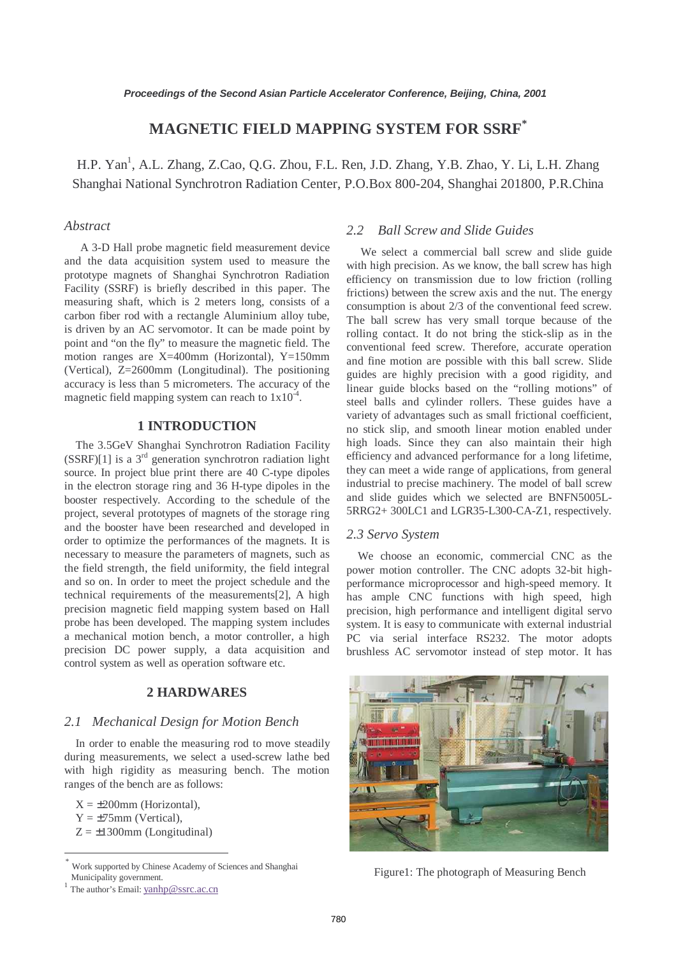# **MAGNETIC FIELD MAPPING SYSTEM FOR SSRF\***

H.P. Yan<sup>1</sup>, A.L. Zhang, Z.Cao, Q.G. Zhou, F.L. Ren, J.D. Zhang, Y.B. Zhao, Y. Li, L.H. Zhang Shanghai National Synchrotron Radiation Center, P.O.Box 800-204, Shanghai 201800, P.R.China

# *Abstract*

A 3-D Hall probe magnetic field measurement device and the data acquisition system used to measure the prototype magnets of Shanghai Synchrotron Radiation Facility (SSRF) is briefly described in this paper. The measuring shaft, which is 2 meters long, consists of a carbon fiber rod with a rectangle Aluminium alloy tube, is driven by an AC servomotor. It can be made point by point and "on the fly" to measure the magnetic field. The motion ranges are X=400mm (Horizontal), Y=150mm (Vertical), Z=2600mm (Longitudinal). The positioning accuracy is less than 5 micrometers. The accuracy of the magnetic field mapping system can reach to  $1x10^{-4}$ .

# **1 INTRODUCTION**

The 3.5GeV Shanghai Synchrotron Radiation Facility  $(SSRF)[1]$  is a 3<sup>rd</sup> generation synchrotron radiation light source. In project blue print there are 40 C-type dipoles in the electron storage ring and 36 H-type dipoles in the booster respectively. According to the schedule of the project, several prototypes of magnets of the storage ring and the booster have been researched and developed in order to optimize the performances of the magnets. It is necessary to measure the parameters of magnets, such as the field strength, the field uniformity, the field integral and so on. In order to meet the project schedule and the technical requirements of the measurements[2], A high precision magnetic field mapping system based on Hall probe has been developed. The mapping system includes a mechanical motion bench, a motor controller, a high precision DC power supply, a data acquisition and control system as well as operation software etc.

### **2 HARDWARES**

### *2.1 Mechanical Design for Motion Bench*

In order to enable the measuring rod to move steadily during measurements, we select a used-screw lathe bed with high rigidity as measuring bench. The motion ranges of the bench are as follows:

 $X = \pm 200$ mm (Horizontal),

 $Y = \pm 75$ mm (Vertical),

 $\overline{a}$ 

 $Z = \pm 1300$ mm (Longitudinal)

## *2.2 Ball Screw and Slide Guides*

 We select a commercial ball screw and slide guide with high precision. As we know, the ball screw has high efficiency on transmission due to low friction (rolling frictions) between the screw axis and the nut. The energy consumption is about 2/3 of the conventional feed screw. The ball screw has very small torque because of the rolling contact. It do not bring the stick-slip as in the conventional feed screw. Therefore, accurate operation and fine motion are possible with this ball screw. Slide guides are highly precision with a good rigidity, and linear guide blocks based on the "rolling motions" of steel balls and cylinder rollers. These guides have a variety of advantages such as small frictional coefficient, no stick slip, and smooth linear motion enabled under high loads. Since they can also maintain their high efficiency and advanced performance for a long lifetime, they can meet a wide range of applications, from general industrial to precise machinery. The model of ball screw and slide guides which we selected are BNFN5005L-5RRG2+ 300LC1 and LGR35-L300-CA-Z1, respectively.

### *2.3 Servo System*

We choose an economic, commercial CNC as the power motion controller. The CNC adopts 32-bit highperformance microprocessor and high-speed memory. It has ample CNC functions with high speed, high precision, high performance and intelligent digital servo system. It is easy to communicate with external industrial PC via serial interface RS232. The motor adopts brushless AC servomotor instead of step motor. It has



Figure1: The photograph of Measuring Bench

Work supported by Chinese Academy of Sciences and Shanghai Municipality government.<br><sup>1</sup> The author's Email: yanhp@ssrc.ac.cn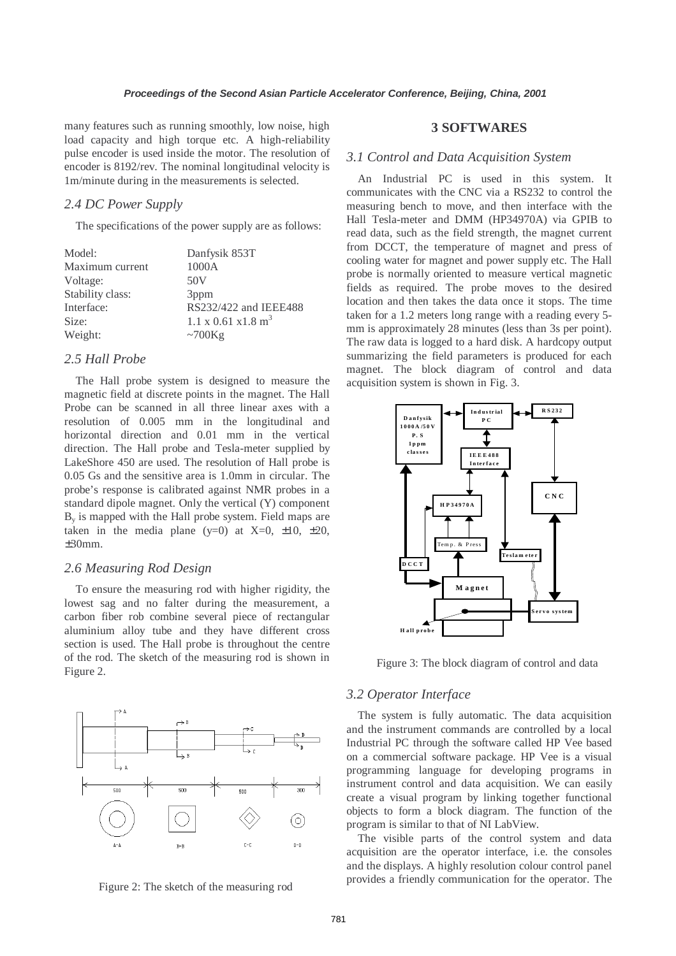many features such as running smoothly, low noise, high load capacity and high torque etc. A high-reliability pulse encoder is used inside the motor. The resolution of encoder is 8192/rev. The nominal longitudinal velocity is 1m/minute during in the measurements is selected.

### *2.4 DC Power Supply*

The specifications of the power supply are as follows:

| Danfysik 853T                            |
|------------------------------------------|
| 1000A                                    |
| 50V                                      |
| 3 <sub>ppm</sub>                         |
| RS232/422 and IEEE488                    |
| $1.1 \times 0.61 \times 1.8 \text{ m}^3$ |
| ~100Kg                                   |
|                                          |

# *2.5 Hall Probe*

The Hall probe system is designed to measure the magnetic field at discrete points in the magnet. The Hall Probe can be scanned in all three linear axes with a resolution of 0.005 mm in the longitudinal and horizontal direction and 0.01 mm in the vertical direction. The Hall probe and Tesla-meter supplied by LakeShore 450 are used. The resolution of Hall probe is 0.05 Gs and the sensitive area is 1.0mm in circular. The probe's response is calibrated against NMR probes in a standard dipole magnet. Only the vertical (Y) component  $B<sub>y</sub>$  is mapped with the Hall probe system. Field maps are taken in the media plane (y=0) at  $X=0$ ,  $\pm 10$ ,  $\pm 20$ , ±30mm.

#### *2.6 Measuring Rod Design*

To ensure the measuring rod with higher rigidity, the lowest sag and no falter during the measurement, a carbon fiber rob combine several piece of rectangular aluminium alloy tube and they have different cross section is used. The Hall probe is throughout the centre of the rod. The sketch of the measuring rod is shown in Figure 2.



Figure 2: The sketch of the measuring rod

# **3 SOFTWARES**

#### *3.1 Control and Data Acquisition System*

An Industrial PC is used in this system. It communicates with the CNC via a RS232 to control the measuring bench to move, and then interface with the Hall Tesla-meter and DMM (HP34970A) via GPIB to read data, such as the field strength, the magnet current from DCCT, the temperature of magnet and press of cooling water for magnet and power supply etc. The Hall probe is normally oriented to measure vertical magnetic fields as required. The probe moves to the desired location and then takes the data once it stops. The time taken for a 1.2 meters long range with a reading every 5 mm is approximately 28 minutes (less than 3s per point). The raw data is logged to a hard disk. A hardcopy output summarizing the field parameters is produced for each magnet. The block diagram of control and data acquisition system is shown in Fig. 3.



Figure 3: The block diagram of control and data

# *3.2 Operator Interface*

The system is fully automatic. The data acquisition and the instrument commands are controlled by a local Industrial PC through the software called HP Vee based on a commercial software package. HP Vee is a visual programming language for developing programs in instrument control and data acquisition. We can easily create a visual program by linking together functional objects to form a block diagram. The function of the program is similar to that of NI LabView.

The visible parts of the control system and data acquisition are the operator interface, i.e. the consoles and the displays. A highly resolution colour control panel provides a friendly communication for the operator. The